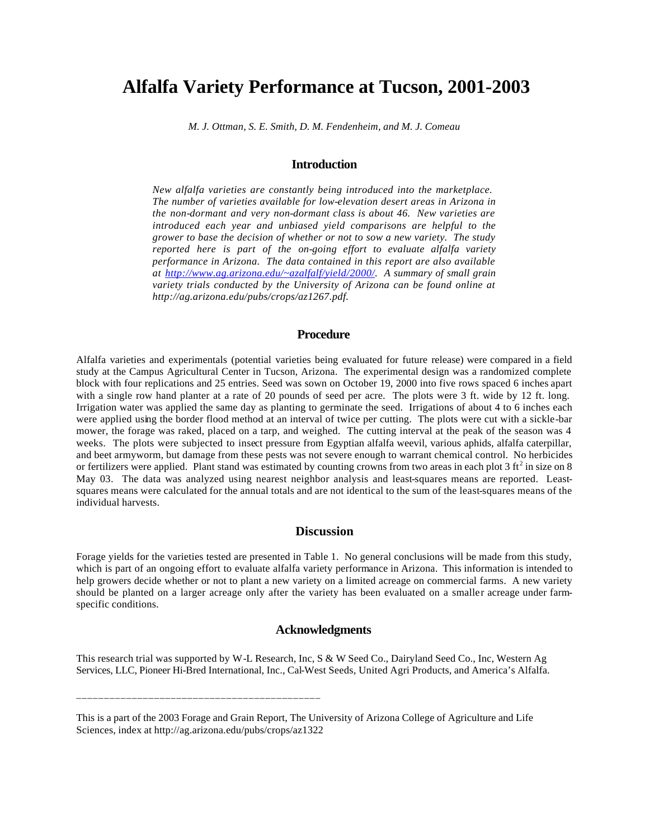# **Alfalfa Variety Performance at Tucson, 2001-2003**

*M. J. Ottman, S. E. Smith, D. M. Fendenheim, and M. J. Comeau*

## **Introduction**

*New alfalfa varieties are constantly being introduced into the marketplace. The number of varieties available for low-elevation desert areas in Arizona in the non-dormant and very non-dormant class is about 46. New varieties are introduced each year and unbiased yield comparisons are helpful to the grower to base the decision of whether or not to sow a new variety. The study reported here is part of the on-going effort to evaluate alfalfa variety performance in Arizona. The data contained in this report are also available at http://www.ag.arizona.edu/~azalfalf/yield/2000/. A summary of small grain variety trials conducted by the University of Arizona can be found online at http://ag.arizona.edu/pubs/crops/az1267.pdf.*

### **Procedure**

Alfalfa varieties and experimentals (potential varieties being evaluated for future release) were compared in a field study at the Campus Agricultural Center in Tucson, Arizona. The experimental design was a randomized complete block with four replications and 25 entries. Seed was sown on October 19, 2000 into five rows spaced 6 inches apart with a single row hand planter at a rate of 20 pounds of seed per acre. The plots were 3 ft. wide by 12 ft. long. Irrigation water was applied the same day as planting to germinate the seed. Irrigations of about 4 to 6 inches each were applied using the border flood method at an interval of twice per cutting. The plots were cut with a sickle-bar mower, the forage was raked, placed on a tarp, and weighed. The cutting interval at the peak of the season was 4 weeks. The plots were subjected to insect pressure from Egyptian alfalfa weevil, various aphids, alfalfa caterpillar, and beet armyworm, but damage from these pests was not severe enough to warrant chemical control. No herbicides or fertilizers were applied. Plant stand was estimated by counting crowns from two areas in each plot  $3 \text{ ft}^2$  in size on  $8$ May 03. The data was analyzed using nearest neighbor analysis and least-squares means are reported. Leastsquares means were calculated for the annual totals and are not identical to the sum of the least-squares means of the individual harvests.

#### **Discussion**

Forage yields for the varieties tested are presented in Table 1. No general conclusions will be made from this study, which is part of an ongoing effort to evaluate alfalfa variety performance in Arizona. This information is intended to help growers decide whether or not to plant a new variety on a limited acreage on commercial farms. A new variety should be planted on a larger acreage only after the variety has been evaluated on a smaller acreage under farmspecific conditions.

# **Acknowledgments**

This research trial was supported by W-L Research, Inc, S & W Seed Co., Dairyland Seed Co., Inc, Western Ag Services, LLC, Pioneer Hi-Bred International, Inc., Cal-West Seeds, United Agri Products, and America's Alfalfa.

\_\_\_\_\_\_\_\_\_\_\_\_\_\_\_\_\_\_\_\_\_\_\_\_\_\_\_\_\_\_\_\_\_\_\_\_\_\_\_\_\_\_\_\_

This is a part of the 2003 Forage and Grain Report, The University of Arizona College of Agriculture and Life Sciences, index at http://ag.arizona.edu/pubs/crops/az1322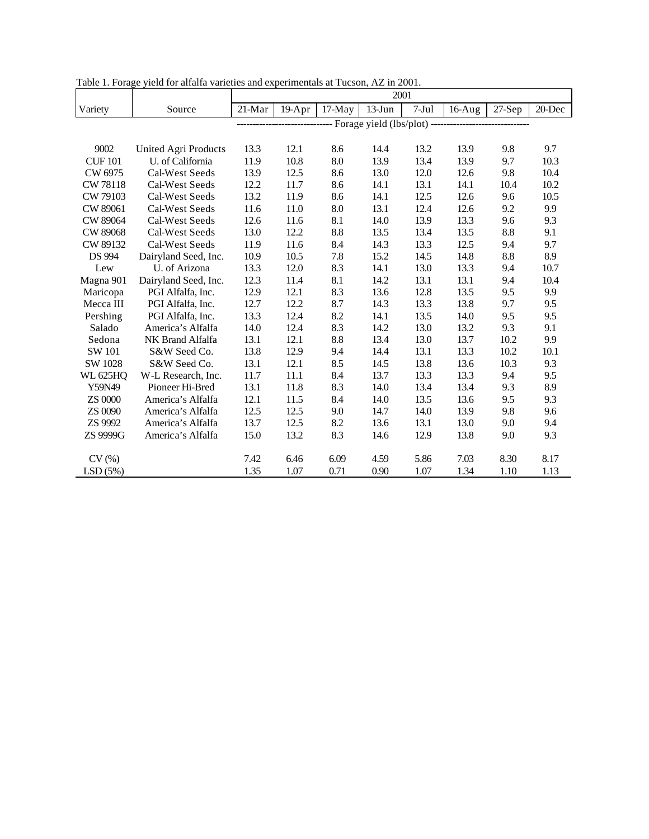|                 |                      | 2001                                                  |        |          |           |         |          |        |        |  |
|-----------------|----------------------|-------------------------------------------------------|--------|----------|-----------|---------|----------|--------|--------|--|
| Variety         | Source               | $21-Mar$                                              | 19-Apr | $17-May$ | $13$ -Jun | $7-Jul$ | $16-Aug$ | 27-Sep | 20-Dec |  |
|                 |                      | --------- Forage yield (lbs/plot) ------------------- |        |          |           |         |          |        |        |  |
|                 |                      |                                                       |        |          |           |         |          |        |        |  |
| 9002            | United Agri Products | 13.3                                                  | 12.1   | 8.6      | 14.4      | 13.2    | 13.9     | 9.8    | 9.7    |  |
| <b>CUF 101</b>  | U. of California     | 11.9                                                  | 10.8   | 8.0      | 13.9      | 13.4    | 13.9     | 9.7    | 10.3   |  |
| CW 6975         | Cal-West Seeds       | 13.9                                                  | 12.5   | 8.6      | 13.0      | 12.0    | 12.6     | 9.8    | 10.4   |  |
| CW 78118        | Cal-West Seeds       | 12.2                                                  | 11.7   | 8.6      | 14.1      | 13.1    | 14.1     | 10.4   | 10.2   |  |
| CW 79103        | Cal-West Seeds       | 13.2                                                  | 11.9   | 8.6      | 14.1      | 12.5    | 12.6     | 9.6    | 10.5   |  |
| CW 89061        | Cal-West Seeds       | 11.6                                                  | 11.0   | 8.0      | 13.1      | 12.4    | 12.6     | 9.2    | 9.9    |  |
| CW 89064        | Cal-West Seeds       | 12.6                                                  | 11.6   | 8.1      | 14.0      | 13.9    | 13.3     | 9.6    | 9.3    |  |
| CW 89068        | Cal-West Seeds       | 13.0                                                  | 12.2   | 8.8      | 13.5      | 13.4    | 13.5     | 8.8    | 9.1    |  |
| CW 89132        | Cal-West Seeds       | 11.9                                                  | 11.6   | 8.4      | 14.3      | 13.3    | 12.5     | 9.4    | 9.7    |  |
| <b>DS 994</b>   | Dairyland Seed, Inc. | 10.9                                                  | 10.5   | 7.8      | 15.2      | 14.5    | 14.8     | 8.8    | 8.9    |  |
| Lew             | U. of Arizona        | 13.3                                                  | 12.0   | 8.3      | 14.1      | 13.0    | 13.3     | 9.4    | 10.7   |  |
| Magna 901       | Dairyland Seed, Inc. | 12.3                                                  | 11.4   | 8.1      | 14.2      | 13.1    | 13.1     | 9.4    | 10.4   |  |
| Maricopa        | PGI Alfalfa, Inc.    | 12.9                                                  | 12.1   | 8.3      | 13.6      | 12.8    | 13.5     | 9.5    | 9.9    |  |
| Mecca III       | PGI Alfalfa, Inc.    | 12.7                                                  | 12.2   | 8.7      | 14.3      | 13.3    | 13.8     | 9.7    | 9.5    |  |
| Pershing        | PGI Alfalfa, Inc.    | 13.3                                                  | 12.4   | 8.2      | 14.1      | 13.5    | 14.0     | 9.5    | 9.5    |  |
| Salado          | America's Alfalfa    | 14.0                                                  | 12.4   | 8.3      | 14.2      | 13.0    | 13.2     | 9.3    | 9.1    |  |
| Sedona          | NK Brand Alfalfa     | 13.1                                                  | 12.1   | 8.8      | 13.4      | 13.0    | 13.7     | 10.2   | 9.9    |  |
| SW 101          | S&W Seed Co.         | 13.8                                                  | 12.9   | 9.4      | 14.4      | 13.1    | 13.3     | 10.2   | 10.1   |  |
| SW 1028         | S&W Seed Co.         | 13.1                                                  | 12.1   | 8.5      | 14.5      | 13.8    | 13.6     | 10.3   | 9.3    |  |
| <b>WL 625HQ</b> | W-L Research, Inc.   | 11.7                                                  | 11.1   | 8.4      | 13.7      | 13.3    | 13.3     | 9.4    | 9.5    |  |
| Y59N49          | Pioneer Hi-Bred      | 13.1                                                  | 11.8   | 8.3      | 14.0      | 13.4    | 13.4     | 9.3    | 8.9    |  |
| ZS 0000         | America's Alfalfa    | 12.1                                                  | 11.5   | 8.4      | 14.0      | 13.5    | 13.6     | 9.5    | 9.3    |  |
| ZS 0090         | America's Alfalfa    | 12.5                                                  | 12.5   | 9.0      | 14.7      | 14.0    | 13.9     | 9.8    | 9.6    |  |
| ZS 9992         | America's Alfalfa    | 13.7                                                  | 12.5   | 8.2      | 13.6      | 13.1    | 13.0     | 9.0    | 9.4    |  |
| ZS 9999G        | America's Alfalfa    | 15.0                                                  | 13.2   | 8.3      | 14.6      | 12.9    | 13.8     | 9.0    | 9.3    |  |
|                 |                      |                                                       |        |          |           |         |          |        |        |  |
| CV(%)           |                      | 7.42                                                  | 6.46   | 6.09     | 4.59      | 5.86    | 7.03     | 8.30   | 8.17   |  |
| LSD(5%)         |                      | 1.35                                                  | 1.07   | 0.71     | 0.90      | 1.07    | 1.34     | 1.10   | 1.13   |  |

Table 1. Forage yield for alfalfa varieties and experimentals at Tucson, AZ in 2001.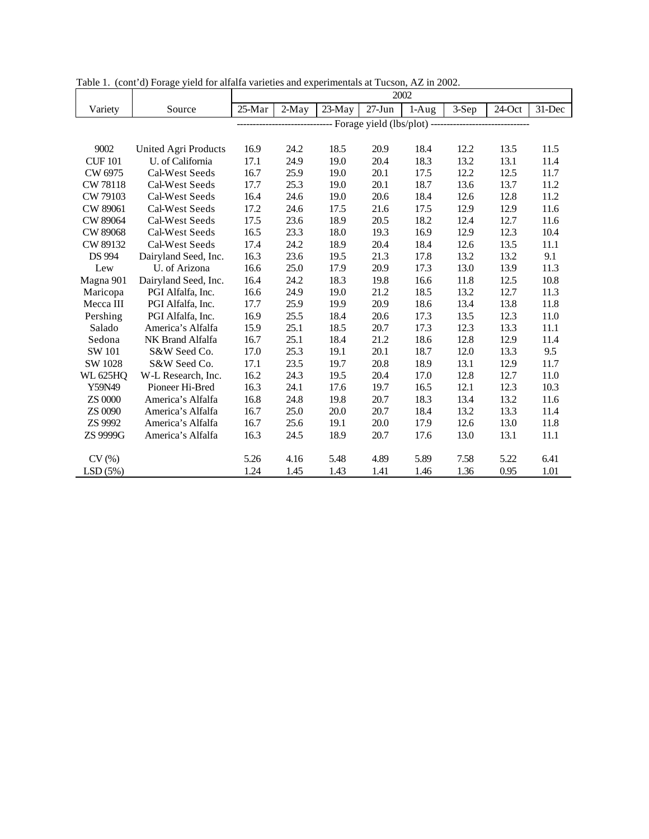|                 |                      | 2002                                       |       |        |            |         |       |        |        |  |
|-----------------|----------------------|--------------------------------------------|-------|--------|------------|---------|-------|--------|--------|--|
| Variety         | Source               | 25-Mar                                     | 2-May | 23-May | $27 - Jun$ | $1-Aug$ | 3-Sep | 24-Oct | 31-Dec |  |
|                 |                      | - Forage yield (lbs/plot) ---------------- |       |        |            |         |       |        |        |  |
|                 |                      |                                            |       |        |            |         |       |        |        |  |
| 9002            | United Agri Products | 16.9                                       | 24.2  | 18.5   | 20.9       | 18.4    | 12.2  | 13.5   | 11.5   |  |
| <b>CUF 101</b>  | U. of California     | 17.1                                       | 24.9  | 19.0   | 20.4       | 18.3    | 13.2  | 13.1   | 11.4   |  |
| CW 6975         | Cal-West Seeds       | 16.7                                       | 25.9  | 19.0   | 20.1       | 17.5    | 12.2  | 12.5   | 11.7   |  |
| CW 78118        | Cal-West Seeds       | 17.7                                       | 25.3  | 19.0   | 20.1       | 18.7    | 13.6  | 13.7   | 11.2   |  |
| CW 79103        | Cal-West Seeds       | 16.4                                       | 24.6  | 19.0   | 20.6       | 18.4    | 12.6  | 12.8   | 11.2   |  |
| CW 89061        | Cal-West Seeds       | 17.2                                       | 24.6  | 17.5   | 21.6       | 17.5    | 12.9  | 12.9   | 11.6   |  |
| CW 89064        | Cal-West Seeds       | 17.5                                       | 23.6  | 18.9   | 20.5       | 18.2    | 12.4  | 12.7   | 11.6   |  |
| CW 89068        | Cal-West Seeds       | 16.5                                       | 23.3  | 18.0   | 19.3       | 16.9    | 12.9  | 12.3   | 10.4   |  |
| CW 89132        | Cal-West Seeds       | 17.4                                       | 24.2  | 18.9   | 20.4       | 18.4    | 12.6  | 13.5   | 11.1   |  |
| <b>DS 994</b>   | Dairyland Seed, Inc. | 16.3                                       | 23.6  | 19.5   | 21.3       | 17.8    | 13.2  | 13.2   | 9.1    |  |
| Lew             | U. of Arizona        | 16.6                                       | 25.0  | 17.9   | 20.9       | 17.3    | 13.0  | 13.9   | 11.3   |  |
| Magna 901       | Dairyland Seed, Inc. | 16.4                                       | 24.2  | 18.3   | 19.8       | 16.6    | 11.8  | 12.5   | 10.8   |  |
| Maricopa        | PGI Alfalfa, Inc.    | 16.6                                       | 24.9  | 19.0   | 21.2       | 18.5    | 13.2  | 12.7   | 11.3   |  |
| Mecca III       | PGI Alfalfa, Inc.    | 17.7                                       | 25.9  | 19.9   | 20.9       | 18.6    | 13.4  | 13.8   | 11.8   |  |
| Pershing        | PGI Alfalfa, Inc.    | 16.9                                       | 25.5  | 18.4   | 20.6       | 17.3    | 13.5  | 12.3   | 11.0   |  |
| Salado          | America's Alfalfa    | 15.9                                       | 25.1  | 18.5   | 20.7       | 17.3    | 12.3  | 13.3   | 11.1   |  |
| Sedona          | NK Brand Alfalfa     | 16.7                                       | 25.1  | 18.4   | 21.2       | 18.6    | 12.8  | 12.9   | 11.4   |  |
| SW 101          | S&W Seed Co.         | 17.0                                       | 25.3  | 19.1   | 20.1       | 18.7    | 12.0  | 13.3   | 9.5    |  |
| SW 1028         | S&W Seed Co.         | 17.1                                       | 23.5  | 19.7   | 20.8       | 18.9    | 13.1  | 12.9   | 11.7   |  |
| <b>WL 625HQ</b> | W-L Research, Inc.   | 16.2                                       | 24.3  | 19.5   | 20.4       | 17.0    | 12.8  | 12.7   | 11.0   |  |
| Y59N49          | Pioneer Hi-Bred      | 16.3                                       | 24.1  | 17.6   | 19.7       | 16.5    | 12.1  | 12.3   | 10.3   |  |
| <b>ZS 0000</b>  | America's Alfalfa    | 16.8                                       | 24.8  | 19.8   | 20.7       | 18.3    | 13.4  | 13.2   | 11.6   |  |
| ZS 0090         | America's Alfalfa    | 16.7                                       | 25.0  | 20.0   | 20.7       | 18.4    | 13.2  | 13.3   | 11.4   |  |
| ZS 9992         | America's Alfalfa    | 16.7                                       | 25.6  | 19.1   | 20.0       | 17.9    | 12.6  | 13.0   | 11.8   |  |
| ZS 9999G        | America's Alfalfa    | 16.3                                       | 24.5  | 18.9   | 20.7       | 17.6    | 13.0  | 13.1   | 11.1   |  |
|                 |                      |                                            |       |        |            |         |       |        |        |  |
| CV(%)           |                      | 5.26                                       | 4.16  | 5.48   | 4.89       | 5.89    | 7.58  | 5.22   | 6.41   |  |
| LSD(5%)         |                      | 1.24                                       | 1.45  | 1.43   | 1.41       | 1.46    | 1.36  | 0.95   | 1.01   |  |

Table 1. (cont'd) Forage yield for alfalfa varieties and experimentals at Tucson, AZ in 2002.